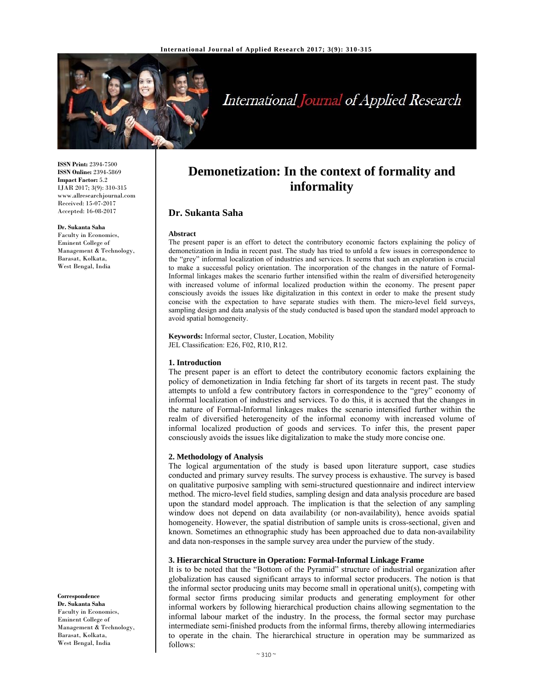

# International Journal of Applied Research

**Demonetization: In the context of formality and informality**

The present paper is an effort to detect the contributory economic factors explaining the policy of demonetization in India in recent past. The study has tried to unfold a few issues in correspondence to the "grey" informal localization of industries and services. It seems that such an exploration is crucial to make a successful policy orientation. The incorporation of the changes in the nature of Formal-Informal linkages makes the scenario further intensified within the realm of diversified heterogeneity with increased volume of informal localized production within the economy. The present paper consciously avoids the issues like digitalization in this context in order to make the present study concise with the expectation to have separate studies with them. The micro-level field surveys, sampling design and data analysis of the study conducted is based upon the standard model approach to

**ISSN Print:** 2394-7500 **ISSN Online:** 2394-5869 **Impact Factor:** 5.2 IJAR 2017; 3(9): 310-315 www.allresearchjournal.com Received: 15-07-2017 Accepted: 16-08-2017

#### **Dr. Sukanta Saha**

Faculty in Economics, Eminent College of Management & Technology, Barasat, Kolkata, West Bengal, India

**Keywords:** Informal sector, Cluster, Location, Mobility

JEL Classification: E26, F02, R10, R12.

#### **1. Introduction**

avoid spatial homogeneity.

**Dr. Sukanta Saha** 

**Abstract** 

The present paper is an effort to detect the contributory economic factors explaining the policy of demonetization in India fetching far short of its targets in recent past. The study attempts to unfold a few contributory factors in correspondence to the "grey" economy of informal localization of industries and services. To do this, it is accrued that the changes in the nature of Formal-Informal linkages makes the scenario intensified further within the realm of diversified heterogeneity of the informal economy with increased volume of informal localized production of goods and services. To infer this, the present paper consciously avoids the issues like digitalization to make the study more concise one.

#### **2. Methodology of Analysis**

The logical argumentation of the study is based upon literature support, case studies conducted and primary survey results. The survey process is exhaustive. The survey is based on qualitative purposive sampling with semi-structured questionnaire and indirect interview method. The micro-level field studies, sampling design and data analysis procedure are based upon the standard model approach. The implication is that the selection of any sampling window does not depend on data availability (or non-availability), hence avoids spatial homogeneity. However, the spatial distribution of sample units is cross-sectional, given and known. Sometimes an ethnographic study has been approached due to data non-availability and data non-responses in the sample survey area under the purview of the study.

#### **3. Hierarchical Structure in Operation: Formal-Informal Linkage Frame**

It is to be noted that the "Bottom of the Pyramid" structure of industrial organization after globalization has caused significant arrays to informal sector producers. The notion is that the informal sector producing units may become small in operational unit(s), competing with formal sector firms producing similar products and generating employment for other informal workers by following hierarchical production chains allowing segmentation to the informal labour market of the industry. In the process, the formal sector may purchase intermediate semi-finished products from the informal firms, thereby allowing intermediaries to operate in the chain. The hierarchical structure in operation may be summarized as follows:

#### **Correspondence**

**Dr. Sukanta Saha**  Faculty in Economics, Eminent College of Management & Technology, Barasat, Kolkata, West Bengal, India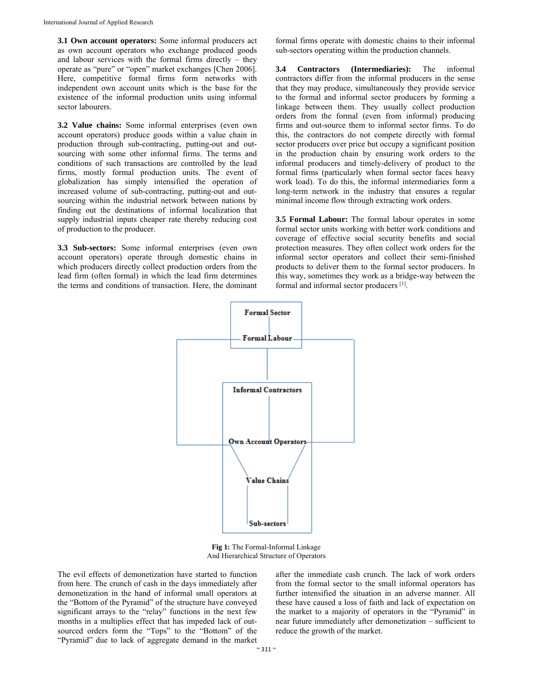**3.1 Own account operators:** Some informal producers act as own account operators who exchange produced goods and labour services with the formal firms directly – they operate as "pure" or "open" market exchanges [Chen 2006]. Here, competitive formal firms form networks with independent own account units which is the base for the existence of the informal production units using informal sector labourers.

**3.2 Value chains:** Some informal enterprises (even own account operators) produce goods within a value chain in production through sub-contracting, putting-out and outsourcing with some other informal firms. The terms and conditions of such transactions are controlled by the lead firms, mostly formal production units. The event of globalization has simply intensified the operation of increased volume of sub-contracting, putting-out and outsourcing within the industrial network between nations by finding out the destinations of informal localization that supply industrial inputs cheaper rate thereby reducing cost of production to the producer.

**3.3 Sub-sectors:** Some informal enterprises (even own account operators) operate through domestic chains in which producers directly collect production orders from the lead firm (often formal) in which the lead firm determines the terms and conditions of transaction. Here, the dominant

formal firms operate with domestic chains to their informal sub-sectors operating within the production channels.

**3.4 Contractors (Intermediaries):** The informal contractors differ from the informal producers in the sense that they may produce, simultaneously they provide service to the formal and informal sector producers by forming a linkage between them. They usually collect production orders from the formal (even from informal) producing firms and out-source them to informal sector firms. To do this, the contractors do not compete directly with formal sector producers over price but occupy a significant position in the production chain by ensuring work orders to the informal producers and timely-delivery of product to the formal firms (particularly when formal sector faces heavy work load). To do this, the informal intermediaries form a long-term network in the industry that ensures a regular minimal income flow through extracting work orders.

**3.5 Formal Labour:** The formal labour operates in some formal sector units working with better work conditions and coverage of effective social security benefits and social protection measures. They often collect work orders for the informal sector operators and collect their semi-finished products to deliver them to the formal sector producers. In this way, sometimes they work as a bridge-way between the formal and informal sector producers [1].



**Fig 1:** The Formal-Informal Linkage And Hierarchical Structure of Operators

The evil effects of demonetization have started to function from here. The crunch of cash in the days immediately after demonetization in the hand of informal small operators at the "Bottom of the Pyramid" of the structure have conveyed significant arrays to the "relay" functions in the next few months in a multiplies effect that has impeded lack of outsourced orders form the "Tops" to the "Bottom" of the "Pyramid" due to lack of aggregate demand in the market after the immediate cash crunch. The lack of work orders from the formal sector to the small informal operators has further intensified the situation in an adverse manner. All these have caused a loss of faith and lack of expectation on the market to a majority of operators in the "Pyramid" in near future immediately after demonetization – sufficient to reduce the growth of the market.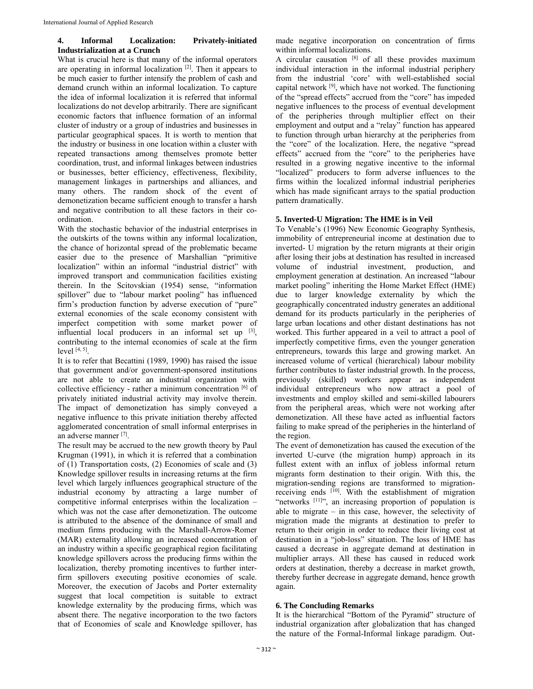## **4. Informal Localization: Privately-initiated Industrialization at a Crunch**

What is crucial here is that many of the informal operators are operating in informal localization  $[2]$ . Then it appears to be much easier to further intensify the problem of cash and demand crunch within an informal localization. To capture the idea of informal localization it is referred that informal localizations do not develop arbitrarily. There are significant economic factors that influence formation of an informal cluster of industry or a group of industries and businesses in particular geographical spaces. It is worth to mention that the industry or business in one location within a cluster with repeated transactions among themselves promote better coordination, trust, and informal linkages between industries or businesses, better efficiency, effectiveness, flexibility, management linkages in partnerships and alliances, and many others. The random shock of the event of demonetization became sufficient enough to transfer a harsh and negative contribution to all these factors in their coordination.

With the stochastic behavior of the industrial enterprises in the outskirts of the towns within any informal localization, the chance of horizontal spread of the problematic became easier due to the presence of Marshallian "primitive localization" within an informal "industrial district" with improved transport and communication facilities existing therein. In the Scitovskian (1954) sense, "information spillover" due to "labour market pooling" has influenced firm's production function by adverse execution of "pure" external economies of the scale economy consistent with imperfect competition with some market power of influential local producers in an informal set up [3], contributing to the internal economies of scale at the firm  $level [4, 5]$ .

It is to refer that Becattini (1989, 1990) has raised the issue that government and/or government-sponsored institutions are not able to create an industrial organization with collective efficiency - rather a minimum concentration [6] of privately initiated industrial activity may involve therein. The impact of demonetization has simply conveyed a negative influence to this private initiation thereby affected agglomerated concentration of small informal enterprises in an adverse manner [7].

The result may be accrued to the new growth theory by Paul Krugman (1991), in which it is referred that a combination of (1) Transportation costs, (2) Economies of scale and (3) Knowledge spillover results in increasing returns at the firm level which largely influences geographical structure of the industrial economy by attracting a large number of competitive informal enterprises within the localization – which was not the case after demonetization. The outcome is attributed to the absence of the dominance of small and medium firms producing with the Marshall-Arrow-Romer (MAR) externality allowing an increased concentration of an industry within a specific geographical region facilitating knowledge spillovers across the producing firms within the localization, thereby promoting incentives to further interfirm spillovers executing positive economies of scale. Moreover, the execution of Jacobs and Porter externality suggest that local competition is suitable to extract knowledge externality by the producing firms, which was absent there. The negative incorporation to the two factors that of Economies of scale and Knowledge spillover, has

made negative incorporation on concentration of firms within informal localizations.

A circular causation  $[8]$  of all these provides maximum individual interaction in the informal industrial periphery from the industrial 'core' with well-established social capital network  $[9]$ , which have not worked. The functioning of the "spread effects" accrued from the "core" has impeded negative influences to the process of eventual development of the peripheries through multiplier effect on their employment and output and a "relay" function has appeared to function through urban hierarchy at the peripheries from the "core" of the localization. Here, the negative "spread effects" accrued from the "core" to the peripheries have resulted in a growing negative incentive to the informal "localized" producers to form adverse influences to the firms within the localized informal industrial peripheries which has made significant arrays to the spatial production pattern dramatically.

## **5. Inverted-U Migration: The HME is in Veil**

To Venable's (1996) New Economic Geography Synthesis, immobility of entrepreneurial income at destination due to inverted- U migration by the return migrants at their origin after losing their jobs at destination has resulted in increased volume of industrial investment, production, and employment generation at destination. An increased "labour market pooling" inheriting the Home Market Effect (HME) due to larger knowledge externality by which the geographically concentrated industry generates an additional demand for its products particularly in the peripheries of large urban locations and other distant destinations has not worked. This further appeared in a veil to attract a pool of imperfectly competitive firms, even the younger generation entrepreneurs, towards this large and growing market. An increased volume of vertical (hierarchical) labour mobility further contributes to faster industrial growth. In the process, previously (skilled) workers appear as independent individual entrepreneurs who now attract a pool of investments and employ skilled and semi-skilled labourers from the peripheral areas, which were not working after demonetization. All these have acted as influential factors failing to make spread of the peripheries in the hinterland of the region.

The event of demonetization has caused the execution of the inverted U-curve (the migration hump) approach in its fullest extent with an influx of jobless informal return migrants form destination to their origin. With this, the migration-sending regions are transformed to migrationreceiving ends <sup>[10]</sup>. With the establishment of migration "networks [11]", an increasing proportion of population is able to migrate – in this case, however, the selectivity of migration made the migrants at destination to prefer to return to their origin in order to reduce their living cost at destination in a "job-loss" situation. The loss of HME has caused a decrease in aggregate demand at destination in multiplier arrays. All these has caused in reduced work orders at destination, thereby a decrease in market growth, thereby further decrease in aggregate demand, hence growth again.

# **6. The Concluding Remarks**

It is the hierarchical "Bottom of the Pyramid" structure of industrial organization after globalization that has changed the nature of the Formal-Informal linkage paradigm. Out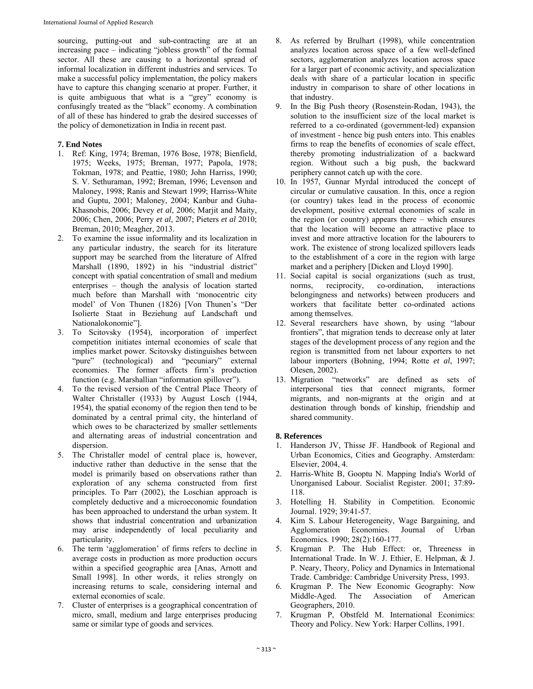sourcing, putting-out and sub-contracting are at an increasing pace – indicating "jobless growth" of the formal sector. All these are causing to a horizontal spread of informal localization in different industries and services. To make a successful policy implementation, the policy makers have to capture this changing scenario at proper. Further, it is quite ambiguous that what is a "grey" economy is confusingly treated as the "black" economy. A combination of all of these has hindered to grab the desired successes of the policy of demonetization in India in recent past.

## **7. End Notes**

- 1. Ref: King, 1974; Breman, 1976 Bose, 1978; Bienfield, 1975; Weeks, 1975; Breman, 1977; Papola, 1978; Tokman, 1978; and Peattie, 1980; John Harriss, 1990; S. V. Sethuraman, 1992; Breman, 1996; Levenson and Maloney, 1998; Ranis and Stewart 1999; Harriss-White and Guptu, 2001; Maloney, 2004; Kanbur and Guha-Khasnobis, 2006; Devey *et al*, 2006; Marjit and Maity, 2006; Chen, 2006; Perry *et al*, 2007; Pieters *et al* 2010; Breman, 2010; Meagher, 2013.
- 2. To examine the issue informality and its localization in any particular industry, the search for its literature support may be searched from the literature of Alfred Marshall (1890, 1892) in his "industrial district" concept with spatial concentration of small and medium enterprises – though the analysis of location started much before than Marshall with 'monocentric city model' of Von Thunen (1826) [Von Thunen's "Der Isolierte Staat in Beziehung auf Landschaft und Nationalokonomie"].
- 3. To Scitovsky (1954), incorporation of imperfect competition initiates internal economies of scale that implies market power. Scitovsky distinguishes between "pure" (technological) and "pecuniary" external economies. The former affects firm's production function (e.g. Marshallian "information spillover").
- 4. To the revised version of the Central Place Theory of Walter Christaller (1933) by August Losch (1944, 1954), the spatial economy of the region then tend to be dominated by a central primal city, the hinterland of which owes to be characterized by smaller settlements and alternating areas of industrial concentration and dispersion.
- 5. The Christaller model of central place is, however, inductive rather than deductive in the sense that the model is primarily based on observations rather than exploration of any schema constructed from first principles. To Parr (2002), the Loschian approach is completely deductive and a microeconomic foundation has been approached to understand the urban system. It shows that industrial concentration and urbanization may arise independently of local peculiarity and particularity.
- 6. The term 'agglomeration' of firms refers to decline in average costs in production as more production occurs within a specified geographic area [Anas, Arnott and Small 1998]. In other words, it relies strongly on increasing returns to scale, considering internal and external economies of scale.
- 7. Cluster of enterprises is a geographical concentration of micro, small, medium and large enterprises producing same or similar type of goods and services.
- 8. As referred by Brulhart (1998), while concentration analyzes location across space of a few well-defined sectors, agglomeration analyzes location across space for a larger part of economic activity, and specialization deals with share of a particular location in specific industry in comparison to share of other locations in that industry.
- 9. In the Big Push theory (Rosenstein-Rodan, 1943), the solution to the insufficient size of the local market is referred to a co-ordinated (government-led) expansion of investment - hence big push enters into. This enables firms to reap the benefits of economies of scale effect, thereby promoting industrialization of a backward region. Without such a big push, the backward periphery cannot catch up with the core.
- 10. In 1957, Gunnar Myrdal introduced the concept of circular or cumulative causation. In this, once a region (or country) takes lead in the process of economic development, positive external economies of scale in the region (or country) appears there – which ensures that the location will become an attractive place to invest and more attractive location for the labourers to work. The existence of strong localized spillovers leads to the establishment of a core in the region with large market and a periphery [Dicken and Lloyd 1990].
- 11. Social capital is social organizations (such as trust, norms, reciprocity, co-ordination, interactions belongingness and networks) between producers and workers that facilitate better co-ordinated actions among themselves.
- 12. Several researchers have shown, by using "labour frontiers", that migration tends to decrease only at later stages of the development process of any region and the region is transmitted from net labour exporters to net labour importers (Bohning, 1994; Rotte *et al*, 1997; Olesen, 2002).
- 13. Migration "networks" are defined as sets of interpersonal ties that connect migrants, former migrants, and non-migrants at the origin and at destination through bonds of kinship, friendship and shared community.

### **8. References**

- 1. Handerson JV, Thisse JF. Handbook of Regional and Urban Economics, Cities and Geography. Amsterdam: Elsevier, 2004, 4.
- 2. Harris-White B, Gooptu N. Mapping India's World of Unorganised Labour. Socialist Register. 2001; 37:89- 118.
- 3. Hotelling H. Stability in Competition. Economic Journal. 1929; 39:41-57.
- 4. Kim S. Labour Heterogeneity, Wage Bargaining, and Agglomeration Economies. Journal of Urban Economics. 1990; 28(2):160-177.
- 5. Krugman P. The Hub Effect: or, Threeness in International Trade. In W. J. Ethier, E. Helpman, & J. P. Neary, Theory, Policy and Dynamics in International Trade. Cambridge: Cambridge University Press, 1993.
- 6. Krugman P. The New Economic Geography: Now Middle-Aged. The Association of American Geographers, 2010.
- 7. Krugman P, Obstfeld M. International Econimics: Theory and Policy. New York: Harper Collins, 1991.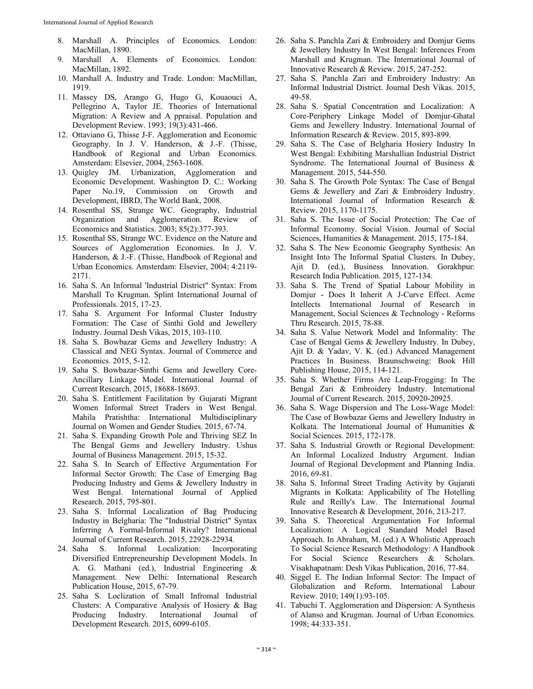- 8. Marshall A. Principles of Economics. London: MacMillan, 1890.
- 9. Marshall A. Elements of Economics. London: MacMillan, 1892.
- 10. Marshall A. Industry and Trade. London: MacMillan, 1919.
- 11. Massey DS, Arango G, Hugo G, Kouaouci A, Pellegrino A, Taylor JE. Theories of International Migration: A Review and A ppraisal. Population and Development Review. 1993; 19(3):431-466.
- 12. Ottaviano G, Thisse J-F. Agglomeration and Economic Geography. In J. V. Handerson, & J.-F. (Thisse, Handbook of Regional and Urban Economics. Amsterdam: Elsevier, 2004, 2563-1608.
- 13. Quigley JM. Urbanization, Agglomeration and Economic Development. Washington D. C.: Working Paper No.19, Commission on Growth and Development, IBRD, The World Bank, 2008.
- 14. Rosenthal SS, Strange WC. Geography, Industrial Organization and Agglomeration. Review of Economics and Statistics. 2003; 85(2):377-393.
- 15. Rosenthal SS, Strange WC. Evidence on the Nature and Sources of Agglomeration Economies. In J. V. Handerson, & J.-F. (Thisse, Handbook of Regional and Urban Economics. Amsterdam: Elsevier, 2004; 4:2119- 2171.
- 16. Saha S. An Informal 'Industrial District" Syntax: From Marshall To Krugman. Splint International Journal of Professionals. 2015, 17-23.
- 17. Saha S. Argument For Informal Cluster Industry Formation: The Case of Sinthi Gold and Jewellery Industry. Journal Desh Vikas, 2015, 103-110.
- 18. Saha S. Bowbazar Gems and Jewellery Industry: A Classical and NEG Syntax. Journal of Commerce and Economics. 2015, 5-12.
- 19. Saha S. Bowbazar-Sinthi Gems and Jewellery Core-Ancillary Linkage Model. International Journal of Current Research. 2015, 18688-18693.
- 20. Saha S. Entitlement Facilitation by Gujarati Migrant Women Informal Street Traders in West Bengal. Mahila Pratishtha: International Multidisciplinary Journal on Women and Gender Studies. 2015, 67-74.
- 21. Saha S. Expanding Growth Pole and Thriving SEZ In The Bengal Gems and Jewellery Industry. Ushus Journal of Business Management. 2015, 15-32.
- 22. Saha S. In Search of Effective Argumentation For Informal Sector Growth: The Case of Emerging Bag Producing Industry and Gems & Jewellery Industry in West Bengal. International Journal of Applied Research. 2015, 795-801.
- 23. Saha S. Informal Localization of Bag Producing Industry in Belgharia: The "Industrial District" Syntax Inferring A Formal-Informal Rivalry? International Journal of Current Research. 2015, 22928-22934.
- 24. Saha S. Informal Localization: Incorporating Diversified Entrepreneurship Development Models. In A. G. Mathani (ed.), Industrial Engineering & Management. New Delhi: International Research Publication House, 2015, 67-79.
- 25. Saha S. Loclization of Small Infromal Industrial Clusters: A Comparative Analysis of Hosiery & Bag Producing Industry. International Journal of Development Research. 2015, 6099-6105.
- 26. Saha S. Panchla Zari & Embroidery and Domjur Gems & Jewellery Industry In West Bengal: Inferences From Marshall and Krugman. The International Journal of Innovative Research & Review. 2015, 247-252.
- 27. Saha S. Panchla Zari and Embroidery Industry: An Informal Industrial District. Journal Desh Vikas. 2015, 49-58.
- 28. Saha S. Spatial Concentration and Localization: A Core-Periphery Linkage Model of Domjur-Ghatal Gems and Jewellery Industry. International Journal of Information Research & Review. 2015, 893-899.
- 29. Saha S. The Case of Belgharia Hosiery Industry In West Bengal: Exhibiting Marshallian Industrial District Syndrome. The International Journal of Business & Management. 2015, 544-550.
- 30. Saha S. The Growth Pole Syntax: The Case of Bengal Gems & Jewellery and Zari & Embroidery Industry. International Journal of Information Research & Review. 2015, 1170-1175.
- 31. Saha S. The Issue of Social Protection: The Cae of Informal Economy. Social Vision. Journal of Social Sciences, Humanities & Management. 2015, 175-184.
- 32. Saha S. The New Economic Geography Synthesis: An Insight Into The Informal Spatial Clusters. In Dubey, Ajit D. (ed.), Business Innovation. Gorakhpur: Research India Publication. 2015, 127-134.
- 33. Saha S. The Trend of Spatial Labour Mobility in Domjur - Does It Inherit A J-Curve Effect. Acme Intellects International Journal of Research in Management, Social Sciences & Technology - Reforms Thru Research. 2015, 78-88.
- 34. Saha S. Value Network Model and Informality: The Case of Bengal Gems & Jewellery Industry. In Dubey, Ajit D. & Yadav, V. K. (ed.) Advanced Management Practices In Business. Braunschweing: Book Hill Publishing House, 2015, 114-121.
- 35. Saha S. Whether Firms Are Leap-Frogging: In The Bengal Zari & Embroidery Industry. International Journal of Current Research. 2015, 20920-20925.
- 36. Saha S. Wage Dispersion and The Loss-Wage Model: The Case of Bowbazar Gems and Jewellery Industry in Kolkata. The International Journal of Humanities & Social Sciences. 2015, 172-178.
- 37. Saha S. Industrial Growth or Regional Development: An Informal Localized Industry Argument. Indian Journal of Regional Development and Planning India. 2016, 69-81.
- 38. Saha S. Informal Street Trading Activity by Gujarati Migrants in Kolkata: Applicability of The Hotelling Rule and Reilly's Law. The International Journal Innovative Research & Development, 2016, 213-217.
- 39. Saha S. Theoretical Argumentation For Informal Localization: A Logical Standard Model Based Approach. In Abraham, M. (ed.) A Wholistic Approach To Social Science Research Methodology: A Handbook For Social Science Researchers & Scholars. Visakhapatnam: Desh Vikas Publication, 2016, 77-84.
- 40. Siggel E. The Indian Informal Sector: The Impact of Globalization and Reform. International Labour Review. 2010; 149(1):93-105.
- 41. Tabuchi T. Agglomeration and Dispersion: A Synthesis of Alanso and Krugman. Journal of Urban Economics. 1998; 44:333-351.